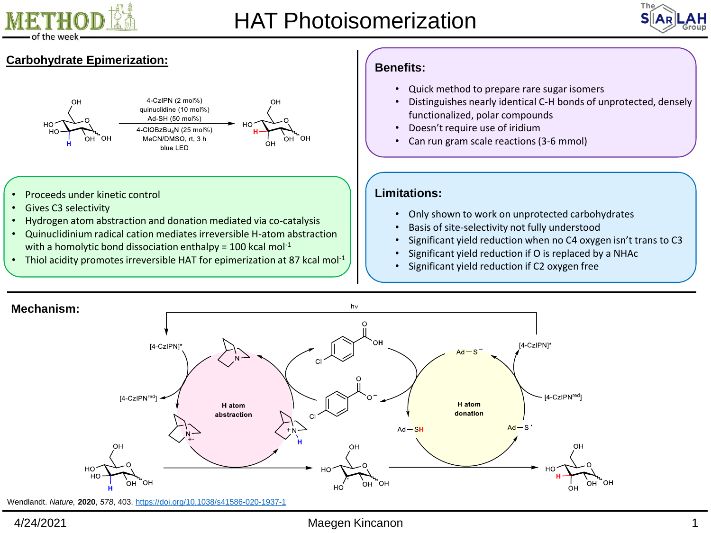





- Thiol acidity promotes irreversible HAT for epimerization at 87 kcal mol<sup>-1</sup>
- Significant yield reduction if O is replaced by a NHAc
- Significant yield reduction if C2 oxygen free



## 4/24/2021 Maegen Kincanon 1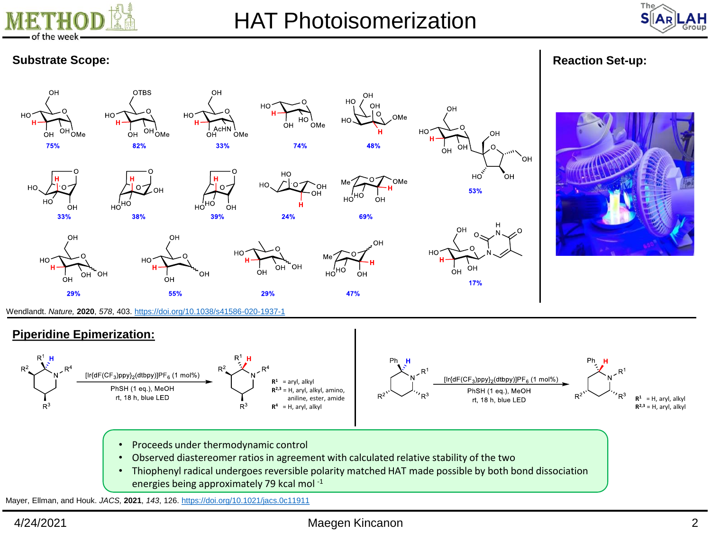



# **Substrate Scope: Reaction Set-up: Reaction Set-up: Reaction Set-up: Reaction Set-up:**



- Observed diastereomer ratios in agreement with calculated relative stability of the two
- Thiophenyl radical undergoes reversible polarity matched HAT made possible by both bond dissociation energies being approximately 79 kcal mol -1

Mayer, Ellman, and Houk. *JACS,* **2021**, *143*, 126. <https://doi.org/10.1021/jacs.0c11911>

## 4/24/2021 Maegen Kincanon 2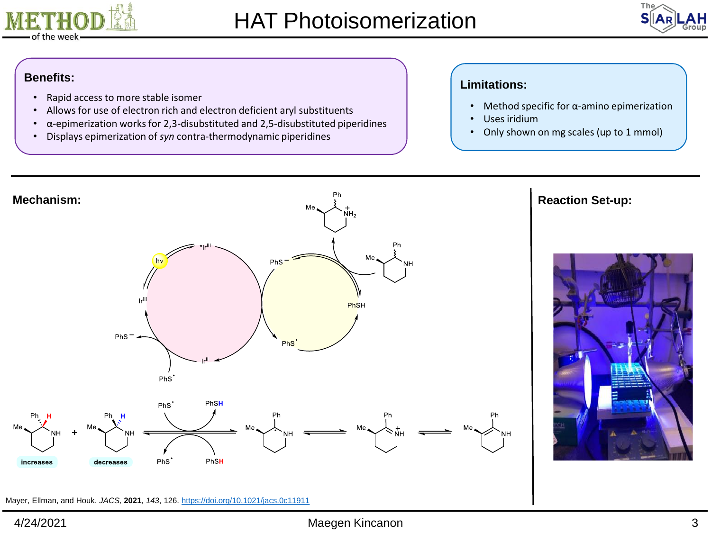



- Rapid access to more stable isomer
- Allows for use of electron rich and electron deficient aryl substituents
- $\cdot$   $\alpha$ -epimerization works for 2,3-disubstituted and 2,5-disubstituted piperidines
- Displays epimerization of *syn* contra-thermodynamic piperidines

# **Benefits: Limitations:**

- Method specific for α-amino epimerization
- Uses iridium
- Only shown on mg scales (up to 1 mmol)



Mayer, Ellman, and Houk. *JACS,* **2021**, *143*, 126. <https://doi.org/10.1021/jacs.0c11911>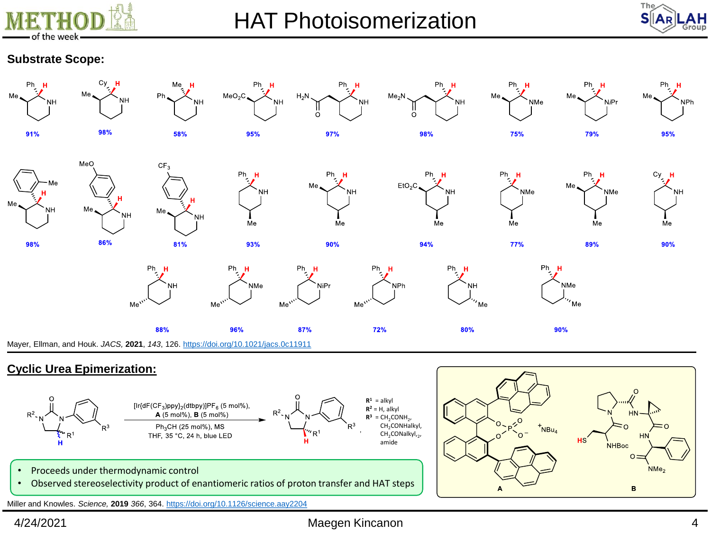



## **Substrate Scope:**



## **Cyclic Urea Epimerization:**



 $HN$  $NBu<sub>4</sub>$ ി **NHBoc**  $\Omega$  $NMe<sub>2</sub>$ B A

- Proceeds under thermodynamic control
- Observed stereoselectivity product of enantiomeric ratios of proton transfer and HAT steps

Miller and Knowles. *Science,* **2019** *366*, 364.<https://doi.org/10.1126/science.aay2204>

#### 4/24/2021 Maegen Kincanon 4